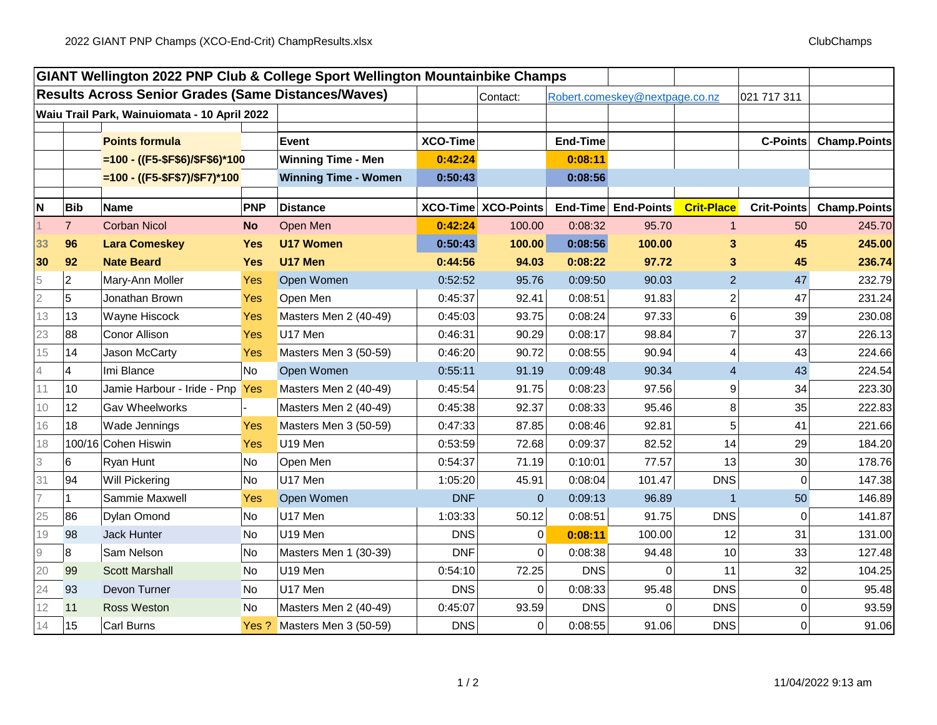|                                                            |                |                                 |            | GIANT Wellington 2022 PNP Club & College Sport Wellington Mountainbike Champs |                 |                     |                 |                                |                   |                    |                     |
|------------------------------------------------------------|----------------|---------------------------------|------------|-------------------------------------------------------------------------------|-----------------|---------------------|-----------------|--------------------------------|-------------------|--------------------|---------------------|
| <b>Results Across Senior Grades (Same Distances/Waves)</b> |                |                                 |            |                                                                               |                 | Contact:            |                 | Robert.comeskey@nextpage.co.nz |                   | 021 717 311        |                     |
| Waiu Trail Park, Wainuiomata - 10 April 2022               |                |                                 |            |                                                                               |                 |                     |                 |                                |                   |                    |                     |
|                                                            |                | <b>Points formula</b>           |            | <b>Event</b>                                                                  | <b>XCO-Time</b> |                     | <b>End-Time</b> |                                |                   | <b>C-Points</b>    | <b>Champ.Points</b> |
|                                                            |                |                                 |            | <b>Winning Time - Men</b>                                                     | 0:42:24         |                     | 0:08:11         |                                |                   |                    |                     |
|                                                            |                | $=100 - ((F5 - $F$6)/$F$6)*100$ |            |                                                                               |                 |                     | 0:08:56         |                                |                   |                    |                     |
|                                                            |                | $=100 - ((F5 - $F$7)/$F7)*100$  |            | <b>Winning Time - Women</b>                                                   | 0:50:43         |                     |                 |                                |                   |                    |                     |
| N                                                          | <b>Bib</b>     | <b>Name</b>                     | PNP        | <b>Distance</b>                                                               |                 | XCO-Time XCO-Points |                 | End-Time End-Points            | <b>Crit-Place</b> | <b>Crit-Points</b> | <b>Champ.Points</b> |
|                                                            | $\overline{7}$ | <b>Corban Nicol</b>             | <b>No</b>  | Open Men                                                                      | 0:42:24         | 100.00              | 0:08:32         | 95.70                          | $\overline{1}$    | 50                 | 245.70              |
| 33                                                         | 96             | <b>Lara Comeskey</b>            | <b>Yes</b> | <b>U17 Women</b>                                                              | 0:50:43         | 100.00              | 0:08:56         | 100.00                         | 3                 | 45                 | 245.00              |
| 30                                                         | 92             | <b>Nate Beard</b>               | <b>Yes</b> | U17 Men                                                                       | 0:44:56         | 94.03               | 0:08:22         | 97.72                          | 3                 | 45                 | 236.74              |
| 5                                                          | $\overline{c}$ | Mary-Ann Moller                 | Yes        | Open Women                                                                    | 0:52:52         | 95.76               | 0:09:50         | 90.03                          | $\overline{2}$    | 47                 | 232.79              |
| $\overline{2}$                                             | 5              | Jonathan Brown                  | Yes        | Open Men                                                                      | 0:45:37         | 92.41               | 0:08:51         | 91.83                          | $\overline{c}$    | 47                 | 231.24              |
| 13                                                         | 13             | Wayne Hiscock                   | Yes        | Masters Men 2 (40-49)                                                         | 0:45:03         | 93.75               | 0:08:24         | 97.33                          | $6\phantom{.}$    | 39                 | 230.08              |
| 23                                                         | 88             | <b>Conor Allison</b>            | Yes        | U17 Men                                                                       | 0:46:31         | 90.29               | 0:08:17         | 98.84                          | 7                 | 37                 | 226.13              |
| 15                                                         | 14             | Jason McCarty                   | Yes        | Masters Men 3 (50-59)                                                         | 0:46:20         | 90.72               | 0:08:55         | 90.94                          | $\overline{4}$    | 43                 | 224.66              |
| 4                                                          | 4              | Imi Blance                      | No         | Open Women                                                                    | 0:55:11         | 91.19               | 0:09:48         | 90.34                          | 4                 | 43                 | 224.54              |
| 11                                                         | 10             | Jamie Harbour - Iride - Pnp Yes |            | Masters Men 2 (40-49)                                                         | 0:45:54         | 91.75               | 0:08:23         | 97.56                          | 9                 | 34                 | 223.30              |
| 10                                                         | 12             | Gav Wheelworks                  |            | Masters Men 2 (40-49)                                                         | 0:45:38         | 92.37               | 0:08:33         | 95.46                          | 8                 | 35                 | 222.83              |
| 16                                                         | 18             | Wade Jennings                   | Yes        | Masters Men 3 (50-59)                                                         | 0:47:33         | 87.85               | 0:08:46         | 92.81                          | 5                 | 41                 | 221.66              |
| 18                                                         |                | 100/16 Cohen Hiswin             | Yes        | U19 Men                                                                       | 0:53:59         | 72.68               | 0:09:37         | 82.52                          | 14                | 29                 | 184.20              |
| 3                                                          | 6              | Ryan Hunt                       | No         | Open Men                                                                      | 0:54:37         | 71.19               | 0:10:01         | 77.57                          | 13                | 30 <sup>°</sup>    | 178.76              |
| 31                                                         | 94             | <b>Will Pickering</b>           | <b>No</b>  | U17 Men                                                                       | 1:05:20         | 45.91               | 0:08:04         | 101.47                         | <b>DNS</b>        | $\Omega$           | 147.38              |
| $\overline{7}$                                             | 1              | Sammie Maxwell                  | Yes        | Open Women                                                                    | <b>DNF</b>      | $\Omega$            | 0:09:13         | 96.89                          | $\overline{1}$    | 50                 | 146.89              |
| 25                                                         | 86             | <b>Dylan Omond</b>              | No         | U17 Men                                                                       | 1:03:33         | 50.12               | 0:08:51         | 91.75                          | <b>DNS</b>        | $\Omega$           | 141.87              |
| 19                                                         | 98             | Jack Hunter                     | <b>No</b>  | U19 Men                                                                       | <b>DNS</b>      | $\Omega$            | 0:08:11         | 100.00                         | 12                | 31                 | 131.00              |
| 9                                                          | $\bf{8}$       | Sam Nelson                      | No         | Masters Men 1 (30-39)                                                         | <b>DNF</b>      | $\Omega$            | 0:08:38         | 94.48                          | 10                | 33                 | 127.48              |
| 20                                                         | 99             | <b>Scott Marshall</b>           | No.        | U19 Men                                                                       | 0:54:10         | 72.25               | <b>DNS</b>      | ሰ                              | 11                | 32                 | 104.25              |
| 24                                                         | 93             | Devon Turner                    | <b>No</b>  | U17 Men                                                                       | <b>DNS</b>      | $\Omega$            | 0:08:33         | 95.48                          | <b>DNS</b>        | $\Omega$           | 95.48               |
| 12                                                         | 11             | <b>Ross Weston</b>              | <b>No</b>  | Masters Men 2 (40-49)                                                         | 0:45:07         | 93.59               | <b>DNS</b>      | ი                              | <b>DNS</b>        | $\Omega$           | 93.59               |
| 14                                                         | 15             | Carl Burns                      |            | Yes ? Masters Men 3 (50-59)                                                   | <b>DNS</b>      | 0                   | 0:08:55         | 91.06                          | <b>DNS</b>        | $\Omega$           | 91.06               |